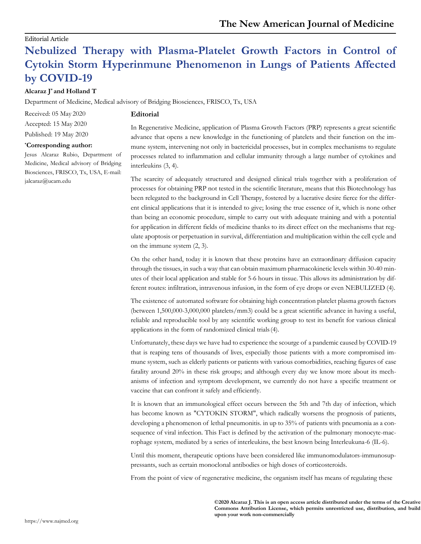### Editorial Article

# **Nebulized Therapy with Plasma-Platelet Growth Factors in Control of Cytokin Storm Hyperinmune Phenomenon in Lungs of Patients Affected by COVID-19**

## **Alcaraz J\* and Holland T**

Department of Medicine, Medical advisory of Bridging Biosciences, FRISCO, Tx, USA

**Editorial**

Received: 05 May 2020

Accepted: 15 May 2020

Published: 19 May 2020

#### **\*Corresponding author:**

Jesus Alcaraz Rubio, Department of Medicine, Medical advisory of Bridging Biosciences, FRISCO, Tx, USA, E-mail: [jalcaraz@ucam.edu](mailto:jalcaraz@ucam.edu)

In Regenerative Medicine, application of Plasma Growth Factors (PRP) represents a great scientific advance that opens a new knowledge in the functioning of platelets and their function on the immune system, intervening not only in bactericidal processes, but in complex mechanisms to regulate processes related to inflammation and cellular immunity through a large number of cytokines and interleukins (3, 4).

The scarcity of adequately structured and designed clinical trials together with a proliferation of processes for obtaining PRP not tested in the scientific literature, means that this Biotechnology has been relegated to the background in Cell Therapy, fostered by a lucrative desire fierce for the different clinical applications that it is intended to give; losing the true essence of it, which is none other than being an economic procedure, simple to carry out with adequate training and with a potential for application in different fields of medicine thanks to its direct effect on the mechanisms that regulate apoptosis or perpetuation in survival, differentiation and multiplication within the cell cycle and on the immune system (2, 3).

On the other hand, today it is known that these proteins have an extraordinary diffusion capacity through the tissues, in such a way that can obtain maximum pharmacokinetic levels within 30-40 minutes of their local application and stable for 5-6 hours in tissue. This allows its administration by different routes: infiltration, intravenous infusion, in the form of eye drops or even NEBULIZED (4).

The existence of automated software for obtaining high concentration platelet plasma growth factors (between 1,500,000-3,000,000 platelets/mm3) could be a great scientific advance in having a useful, reliable and reproducible tool by any scientific working group to test its benefit for various clinical applications in the form of randomized clinical trials(4).

Unfortunately, these days we have had to experience the scourge of a pandemic caused by COVID-19 that is reaping tens of thousands of lives, especially those patients with a more compromised immune system, such as elderly patients or patients with various comorbidities, reaching figures of case fatality around 20% in these risk groups; and although every day we know more about its mechanisms of infection and symptom development, we currently do not have a specific treatment or vaccine that can confront it safely and efficiently.

It is known that an immunological effect occurs between the 5th and 7th day of infection, which has become known as "CYTOKIN STORM", which radically worsens the prognosis of patients, developing a phenomenon of lethal pneumonitis. in up to 35% of patients with pneumonia as a consequence of viral infection. This Fact is defined by the activation of the pulmonary monocyte-macrophage system, mediated by a series of interleukins, the best known being Interleukuna-6 (IL-6).

Until this moment, therapeutic options have been considered like immunomodulators-immunosuppressants, such as certain monoclonal antibodies or high doses of corticosteroids.

From the point of view of regenerative medicine, the organism itself has means of regulating these

**©2020 Alcaraz J. This is an open access article distributed under the terms of the Creative Commons Attribution License, which permits unrestricted use, distribution, and build upon your work non-commercially**